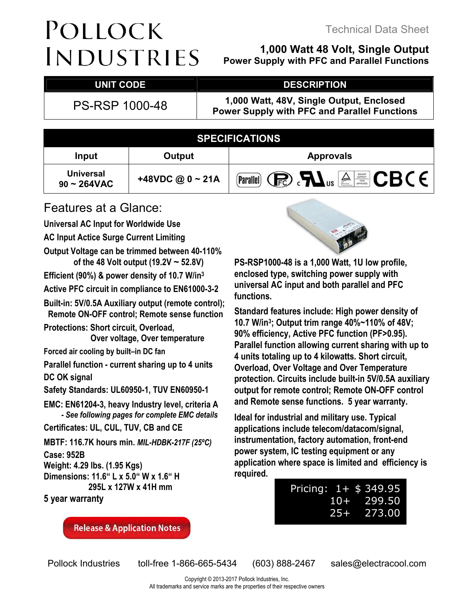# POLLOCK **INDUSTRIES**

### **1,000 Watt 48 Volt, Single Output**

**Power Supply with PFC and Parallel Functions**

#### UNIT CODE DESCRIPTION

PS-RSP 1000-48 **1,000 Watt, 48V, Single Output, Enclosed Power Supply with PFC and Parallel Functions**

|                                              |                       | <b>SPECIFICATIONS</b>                                                                                                                                                                                                                                                                                                              |
|----------------------------------------------|-----------------------|------------------------------------------------------------------------------------------------------------------------------------------------------------------------------------------------------------------------------------------------------------------------------------------------------------------------------------|
| Input                                        | Output                | <b>Approvals</b>                                                                                                                                                                                                                                                                                                                   |
| <b>Universal</b><br>$90 \sim 264 \text{VAC}$ | +48VDC @ $0 \sim 21A$ | $\mathbb{C}$ $\mathbb{R}$ $\mathbb{C}$ $\mathbb{R}$ $\mathbb{C}$ $\mathbb{C}$ $\mathbb{C}$ $\mathbb{C}$ $\mathbb{C}$ $\mathbb{C}$ $\mathbb{C}$ $\mathbb{C}$ $\mathbb{C}$ $\mathbb{C}$ $\mathbb{C}$ $\mathbb{C}$ $\mathbb{C}$ $\mathbb{C}$ $\mathbb{C}$ $\mathbb{C}$ $\mathbb{C}$ $\mathbb{C}$ $\mathbb{C}$ $\mathbb{C}$ $\mathbb{$ |

### Features at a Glance:

**Universal AC Input for Worldwide Use** 

**AC Input Actice Surge Current Limiting** 

**Output Voltage can be trimmed between 40-110% of the 48 Volt output (19.2V ~ 52.8V)** 

**Efficient (90%) & power density of 10.7 W/in<sup>3</sup>**

**Active PFC circuit in compliance to EN61000-3-2** 

**Built-in: 5V/0.5A Auxiliary output (remote control); Remote ON-OFF control; Remote sense function** 

**Protections: Short circuit, Overload, Over voltage, Over temperature** 

**Forced air cooling by built–in DC fan** 

**Parallel function - current sharing up to 4 units** 

**DC OK signal** 

**Safety Standards: UL60950-1, TUV EN60950-1** 

**EMC: EN61204-3, heavy Industry level, criteria A**  *- See following pages for complete EMC details*

**Certificates: UL, CUL, TUV, CB and CE** 

**MBTF: 116.7K hours min.** *MIL-HDBK-217F (25ºC)*

**Case: 952B** 

**Weight: 4.29 lbs. (1.95 Kgs)** 

**Dimensions: 11.6" L x 5.0" W x 1.6" H 295L x 127W x 41H mm** 

**5 year warranty** 

**Release & Application Notes** 



**PS-RSP1000-48 is a 1,000 Watt, 1U low profile, enclosed type, switching power supply with universal AC input and both parallel and PFC functions.** 

**Standard features include: High power density of 10.7 W/in<sup>3</sup> ; Output trim range 40%~110% of 48V; 90% efficiency, Active PFC function (PF>0.95). Parallel function allowing current sharing with up to 4 units totaling up to 4 kilowatts. Short circuit, Overload, Over Voltage and Over Temperature protection. Circuits include built-in 5V/0.5A auxiliary output for remote control; Remote ON-OFF control and Remote sense functions. 5 year warranty.** 

**Ideal for industrial and military use. Typical applications include telecom/datacom/signal, instrumentation, factory automation, front-end power system, IC testing equipment or any application where space is limited and efficiency is required.**

| Pricing: $1+$ \$ 349.95 |        |               |
|-------------------------|--------|---------------|
|                         |        | $10 + 299.50$ |
|                         | $25 +$ | 273.00        |

Pollock Industries toll-free 1-866-665-5434 (603) 888-2467 sales@electracool.com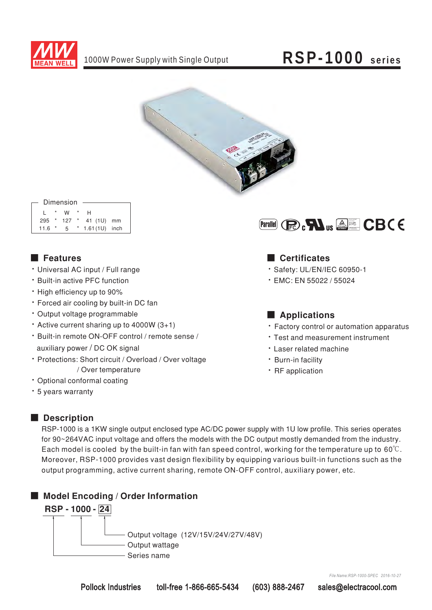



#### Dimension

| $\mathbf{1}$ $\mathbf{1}$ | W | $\star$ | H                        |  |
|---------------------------|---|---------|--------------------------|--|
|                           |   |         | 295 * 127 * 41 (1U) mm   |  |
|                           |   |         | 11.6 * 5 * 1.61(1U) inch |  |

#### ■ Features

- Universal AC input / Full range
- \* Built-in active PFC function
- High efficiency up to 90%
- \* Forced air cooling by built-in DC fan
- \* Output voltage programmable
- $\cdot$  Active current sharing up to 4000W (3+1)
- \* Built-in remote ON-OFF control / remote sense / auxiliary power / DC OK signal
- Protections: Short circuit / Overload / Over voltage / Over temperature
- Optional conformal coating
- \* 5 years warranty



#### Certificates

- Safety: UL/EN/IEC 60950-1
- $\cdot$  EMC: EN 55022 / 55024

#### ■ **Applications**

- Factory control or automation apparatus
- Test and measurement instrument
- Laser related machine
- Burn-in facility
- RF application

#### ■ **Description**

RSP-1000 is a 1KW single output enclosed type AC/DC power supply with 1U low profile. This series operates for 90~264VAC input voltage and offers the models with the DC output mostly demanded from the industry. Each model is cooled by the built-in fan with fan speed control, working for the temperature up to 60°C. Moreover, RSP-1000 provides vast design flexibility by equipping various built-in functions such as the output programming, active current sharing, remote ON-OFF control, auxiliary power, etc.

### ■ Model Encoding / Order Information



*File Name:RSP-1000-SPEC 2016-10-27*

Pollock Industries toll-free 1-866-665-5434 (603) 888-2467 sales@electracool.com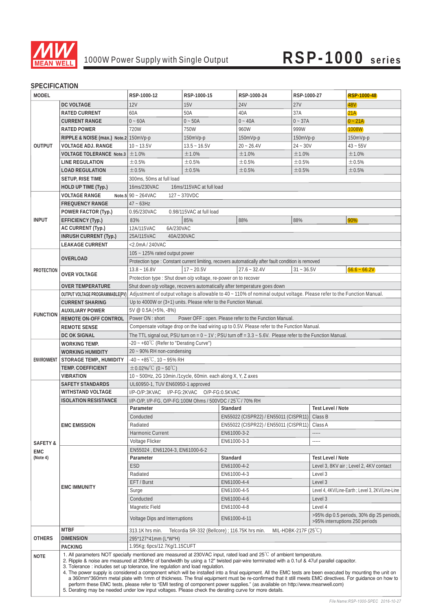

#### **SPECIFICATION**

| MODEL               |                                                                               | RSP-1000-12                                                      | RSP-1000-15              | RSP-1000-24                                                                                                                                                                                                                                                                                                       | RSP-1000-27          | RSP-1000-48                                      |
|---------------------|-------------------------------------------------------------------------------|------------------------------------------------------------------|--------------------------|-------------------------------------------------------------------------------------------------------------------------------------------------------------------------------------------------------------------------------------------------------------------------------------------------------------------|----------------------|--------------------------------------------------|
|                     | DC VOLTAGE                                                                    | 12V                                                              | <b>15V</b>               | <b>24V</b>                                                                                                                                                                                                                                                                                                        | 27V                  | 48V)                                             |
|                     | RATED CURRENT                                                                 | 60A                                                              | 50A                      | 40A                                                                                                                                                                                                                                                                                                               | 37A                  | 21A                                              |
|                     | <b>CURRENT RANGE</b>                                                          | $0 - 60A$                                                        | $0 - 50A$                | $0 - 40A$                                                                                                                                                                                                                                                                                                         | $0 - 37A$            | $0 - 21A$                                        |
|                     | <b>RATED POWER</b>                                                            | 720W                                                             | 750W                     | 960W                                                                                                                                                                                                                                                                                                              | 999W                 | 1008W                                            |
|                     | RIPPLE & NOISE (max.) Note.2 150mVp-p                                         |                                                                  | 150mVp-p                 | 150mVp-p                                                                                                                                                                                                                                                                                                          | 150mVp-p             | 150mVp-p                                         |
| OUTPUT              | <b>VOLTAGE ADJ. RANGE</b>                                                     | $10 - 13.5V$                                                     | $13.5 - 16.5V$           | $20 - 26.4V$                                                                                                                                                                                                                                                                                                      | $24 - 30V$           | $43 - 55V$                                       |
|                     | <b>VOLTAGE TOLERANCE Note.3</b>                                               | ±1.0%                                                            | ±1.0%                    | ±1.0%                                                                                                                                                                                                                                                                                                             | ±1.0%                | ±1.0%                                            |
|                     | LINE REGULATION                                                               | ±0.5%                                                            | ±0.5%                    | ±0.5%                                                                                                                                                                                                                                                                                                             | ±0.5%                | ±0.5%                                            |
|                     | <b>LOAD REGULATION</b>                                                        | ±0.5%                                                            | ±0.5%                    | ±0.5%                                                                                                                                                                                                                                                                                                             | ±0.5%                | ±0.5%                                            |
|                     | SETUP, RISE TIME                                                              | 300ms, 50ms at full load                                         |                          |                                                                                                                                                                                                                                                                                                                   |                      |                                                  |
|                     | HOLD UP TIME (Typ.)                                                           | 16ms/230VAC                                                      | 16ms/115VAC at full load |                                                                                                                                                                                                                                                                                                                   |                      |                                                  |
|                     | <b>VOLTAGE RANGE</b>                                                          | Note.5 $90 - 264$ VAC                                            | 127~370VDC               |                                                                                                                                                                                                                                                                                                                   |                      |                                                  |
|                     | <b>FREQUENCY RANGE</b>                                                        | $47 - 63$ Hz                                                     |                          |                                                                                                                                                                                                                                                                                                                   |                      |                                                  |
|                     | POWER FACTOR (Typ.)                                                           | 0.95/230VAC                                                      | 0.98/115VAC at full load |                                                                                                                                                                                                                                                                                                                   |                      |                                                  |
| <b>INPUT</b>        | EFFICIENCY (Typ.)                                                             | 83%                                                              | 85%                      | 88%                                                                                                                                                                                                                                                                                                               | 88%                  | 90%                                              |
|                     | AC CURRENT (Typ.)                                                             | 6A/230VAC<br>12A/115VAC                                          |                          |                                                                                                                                                                                                                                                                                                                   |                      |                                                  |
|                     | <b>INRUSH CURRENT (Typ.)</b>                                                  | 25A/115VAC<br>40A/230VAC                                         |                          |                                                                                                                                                                                                                                                                                                                   |                      |                                                  |
|                     | <b>LEAKAGE CURRENT</b>                                                        | <2.0mA / 240VAC                                                  |                          |                                                                                                                                                                                                                                                                                                                   |                      |                                                  |
|                     |                                                                               | 105 ~ 125% rated output power                                    |                          |                                                                                                                                                                                                                                                                                                                   |                      |                                                  |
|                     | OVERLOAD                                                                      |                                                                  |                          | Protection type : Constant current limiting, recovers automatically after fault condition is removed                                                                                                                                                                                                              |                      |                                                  |
| <b>PROTECTION</b>   |                                                                               | $13.8 - 16.8V$                                                   | $17 - 20.5V$             | $27.6 - 32.4V$                                                                                                                                                                                                                                                                                                    | $31 - 36.5V$         | $56.6 - 66.2V$                                   |
|                     | <b>OVER VOLTAGE</b>                                                           | Protection type: Shut down o/p voltage, re-power on to recover   |                          |                                                                                                                                                                                                                                                                                                                   |                      |                                                  |
|                     | <b>OVER TEMPERATURE</b>                                                       |                                                                  |                          | Shut down o/p voltage, recovers automatically after temperature goes down                                                                                                                                                                                                                                         |                      |                                                  |
|                     | OUTPUT VOLTAGE PROGRAMMABLE(PV)                                               |                                                                  |                          | Adjustment of output voltage is allowable to 40 ~ 110% of nominal output voltage. Please refer to the Function Manual.                                                                                                                                                                                            |                      |                                                  |
|                     | <b>CURRENT SHARING</b>                                                        | Up to 4000W or (3+1) units. Please refer to the Function Manual. |                          |                                                                                                                                                                                                                                                                                                                   |                      |                                                  |
| <b>FUNCTION</b>     | <b>AUXILIARY POWER</b>                                                        | 5V @ 0.5A (+5%, -8%)                                             |                          |                                                                                                                                                                                                                                                                                                                   |                      |                                                  |
|                     | REMOTE ON-OFF CONTROL                                                         | Power ON : short                                                 |                          | Power OFF : open. Please refer to the Function Manual.                                                                                                                                                                                                                                                            |                      |                                                  |
|                     | <b>REMOTE SENSE</b>                                                           |                                                                  |                          | Compensate voltage drop on the load wiring up to 0.5V. Please refer to the Function Manual.                                                                                                                                                                                                                       |                      |                                                  |
|                     | DC OK SIGNAL                                                                  |                                                                  |                          | The TTL signal out, PSU turn on = $0 \sim 1V$ ; PSU turn off = $3.3 \sim 5.6V$ . Please refer to the Function Manual.                                                                                                                                                                                             |                      |                                                  |
|                     | <b>WORKING TEMP.</b>                                                          | -20 ~ +60°C (Refer to "Derating Curve")                          |                          |                                                                                                                                                                                                                                                                                                                   |                      |                                                  |
|                     | <b>WORKING HUMIDITY</b>                                                       | 20 - 90% RH non-condensing                                       |                          |                                                                                                                                                                                                                                                                                                                   |                      |                                                  |
| ENVIRONMENT         | STORAGE TEMP., HUMIDITY                                                       | $-40 - +85^{\circ}$ C, 10 ~ 95% RH                               |                          |                                                                                                                                                                                                                                                                                                                   |                      |                                                  |
|                     | TEMP. COEFFICIENT                                                             | $\pm$ 0.02%/°C (0 ~ 50°C)                                        |                          |                                                                                                                                                                                                                                                                                                                   |                      |                                                  |
|                     | <b>VIBRATION</b>                                                              | 10 ~ 500Hz, 2G 10min./1cycle, 60min. each along X, Y, Z axes     |                          |                                                                                                                                                                                                                                                                                                                   |                      |                                                  |
|                     | <b>SAFETY STANDARDS</b>                                                       | UL60950-1, TUV EN60950-1 approved                                |                          |                                                                                                                                                                                                                                                                                                                   |                      |                                                  |
|                     | WITHSTAND VOLTAGE                                                             | I/P-O/P:3KVAC I/P-FG:2KVAC O/P-FG:0.5KVAC                        |                          |                                                                                                                                                                                                                                                                                                                   |                      |                                                  |
|                     | <b>ISOLATION RESISTANCE</b>                                                   | I/P-O/P, I/P-FG, O/P-FG:100M Ohms / 500VDC / 25°C/ 70% RH        |                          |                                                                                                                                                                                                                                                                                                                   |                      |                                                  |
|                     |                                                                               | Parameter                                                        |                          | Standard<br>EN55022 (CISPR22) / EN55011 (CISPR11) Class B                                                                                                                                                                                                                                                         |                      | Test Level / Note                                |
|                     |                                                                               | Conducted<br>Radiated                                            |                          | EN55022 (CISPR22) / EN55011 (CISPR11)                                                                                                                                                                                                                                                                             | Class A              |                                                  |
|                     | <b>EMC EMISSION</b>                                                           | Harmonic Current                                                 |                          | EN61000-3-2                                                                                                                                                                                                                                                                                                       | -----                |                                                  |
|                     |                                                                               | Voltage Flicker                                                  |                          | EN61000-3-3                                                                                                                                                                                                                                                                                                       |                      |                                                  |
| <b>SAFETY &amp;</b> |                                                                               | EN55024, EN61204-3, EN61000-6-2                                  |                          |                                                                                                                                                                                                                                                                                                                   |                      |                                                  |
| EMC<br>(Note 4)     |                                                                               | Parameter                                                        |                          | Standard                                                                                                                                                                                                                                                                                                          |                      | Test Level / Note                                |
|                     |                                                                               | ESD                                                              |                          | EN61000-4-2                                                                                                                                                                                                                                                                                                       |                      | Level 3, 8KV air ; Level 2, 4KV contact          |
|                     |                                                                               | Radiated                                                         |                          | EN61000-4-3                                                                                                                                                                                                                                                                                                       | Level 3              |                                                  |
|                     |                                                                               | EFT / Burst                                                      |                          | EN61000-4-4                                                                                                                                                                                                                                                                                                       | Level 3              |                                                  |
|                     | <b>EMC IMMUNITY</b>                                                           | Surge                                                            |                          | EN61000-4-5                                                                                                                                                                                                                                                                                                       |                      | Level 4, 4KV/Line-Earth ; Level 3, 2KV/Line-Line |
|                     |                                                                               | Conducted                                                        |                          | EN61000-4-6                                                                                                                                                                                                                                                                                                       | Level 3              |                                                  |
|                     |                                                                               | Magnetic Field                                                   |                          | EN61000-4-8                                                                                                                                                                                                                                                                                                       | Level 4              |                                                  |
|                     |                                                                               |                                                                  |                          |                                                                                                                                                                                                                                                                                                                   |                      | >95% dip 0.5 periods, 30% dip 25 peniods,        |
|                     |                                                                               | Voltage Dips and Interruptions                                   |                          | EN61000-4-11                                                                                                                                                                                                                                                                                                      |                      | >95% interruptions 250 periods                   |
|                     | <b>MTBF</b>                                                                   | 313.1K hrs min.                                                  |                          | Telcordia SR-332 (Bellcore) ; 116.75K hrs min.                                                                                                                                                                                                                                                                    | MIL-HDBK-217F (25°C) |                                                  |
| <b>OTHERS</b>       | <b>DIMENSION</b>                                                              | 295*127*41mm (L*W*H)                                             |                          |                                                                                                                                                                                                                                                                                                                   |                      |                                                  |
|                     | <b>PACKING</b>                                                                | 1.95Kg; 6pcs/12.7Kg/1.15CUFT                                     |                          |                                                                                                                                                                                                                                                                                                                   |                      |                                                  |
| <b>NOTE</b>         |                                                                               |                                                                  |                          | 1. All parameters NOT specially mentioned are measured at 230VAC input, rated load and 25°C of ambient temperature.<br>2. Ripple & noise are measured at 20MHz of bandwidth by using a 12" twisted pair-wire terminated with a 0.1uf & 47uf parallel capacitor.                                                   |                      |                                                  |
|                     | 3. Tolerance: includes set up tolerance, line regulation and load regulation. |                                                                  |                          |                                                                                                                                                                                                                                                                                                                   |                      |                                                  |
|                     |                                                                               |                                                                  |                          | 4. The power supply is considered a component which will be installed into a final equipment. All the EMC tests are been executed by mounting the unit on<br>a 360mm*360mm metal plate with 1mm of thickness. The final equipment must be re-confirmed that it still meets EMC directives. For guidance on how to |                      |                                                  |
|                     |                                                                               |                                                                  |                          | perform these EMC tests, please refer to "EMI testing of component power supplies." (as available on http://www.meanwell.com)                                                                                                                                                                                     |                      |                                                  |
|                     |                                                                               |                                                                  |                          | 5. Derating may be needed under low input voltages. Please check the derating curve for more details.                                                                                                                                                                                                             |                      |                                                  |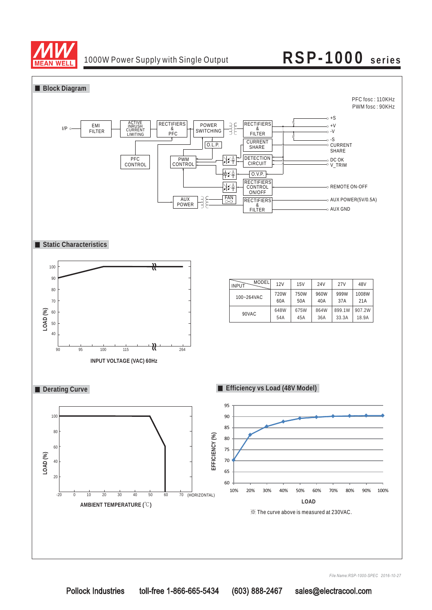

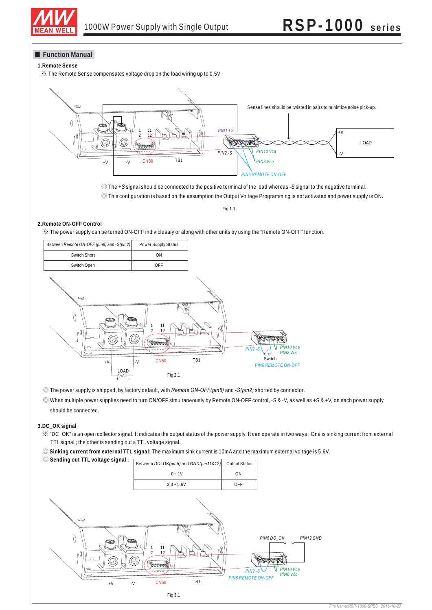

#### **Function Manual**

#### **1.Remote Sense**

※ The Remote Sense compensates voltage drop on the load wiring up to 0.5V



© The +S signal should be connected to the positive terminal of the load whereas -S signal to the negative terminal.

◎ This configuration is based on the assumption the Output Voltage Programming is not activated and power supply is ON.

Fig 1.1

#### **2.Remote ON-OFF Control**

※ The power supply can be turned ON-OFF indivicluaaly or along with other units by using the "Remote ON-OFF" function.

| Between Remote ON-OFF (pin6) and -S(pin2)                                                        | Power Supply Status                                                                     |           |                                                                                |
|--------------------------------------------------------------------------------------------------|-----------------------------------------------------------------------------------------|-----------|--------------------------------------------------------------------------------|
| Switch Short                                                                                     | ON                                                                                      |           |                                                                                |
| Switch Open                                                                                      | OFF                                                                                     |           |                                                                                |
| $\bigcirc$<br>O<br>œ<br>≂<br>0<br>$\ensuremath{\mathsf{+}}\ensuremath{\mathsf{V}}$<br>LOAD<br>W٨ | 11<br>12<br>2<br><b>REPORTER</b><br><del>.</del><br><b>CN50</b><br>$\cdot$ V<br>Fig 2.1 | 10<br>TB1 | PIN10 Vca<br>$PIN2-S$<br>PIN8 Vco<br>ୡ୶<br>Switch<br><b>PIN6 REMOTE ON-OFF</b> |

© The power supply is shipped, by factory default, with Remote ON-OFF(pin6) and -S(pin2) shorted by connector.

◎ When multiple power supplies need to turn ON/OFF simultaneously by Remote ON-OFF control, -S & -V, as well as +S & +V, on each power supply should be connected.

#### **3.DC\_OK signal**

- ※ "DC\_OK" is an open collector signal. It indicates the output status of the power supply. It can operate in two ways : One is sinking current from external TTL signal ; the other is sending out a TTL voltage signal.
- ◎ **Sinking current from external TTL signal:** The maximum sink current is 10mA and the maximum external voltage is 5.6V.

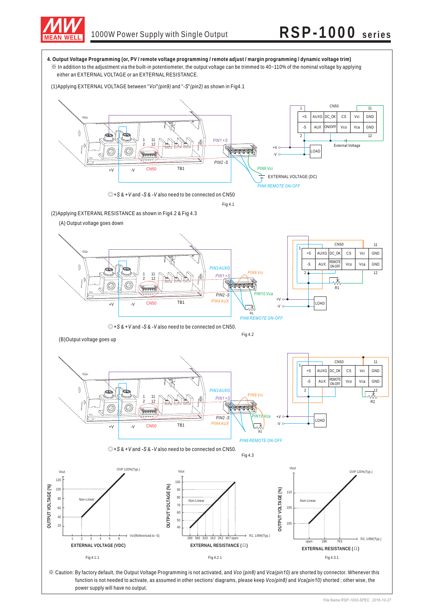

power supply will have no output.

### 1000W Power Supply with Single Output **RSP-1000 series**

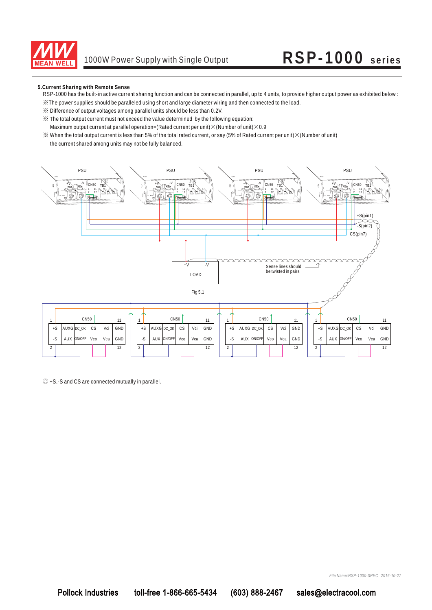

**5.Current Sharing with Remote Sense**

- RSP-1000 has the built-in active current sharing function and can be connected in parallel, up to 4 units, to provide higher output power as exhibited below :
- ※The power supplies should be paralleled using short and large diameter wiring and then connected to the load.
- ※ Difference of output voltages among parallel units should be less than 0.2V.
- ※ The total output current must not exceed the value determined by the following equation:
- Maximum output current at parallel operation=(Rated current per unit) $\times$ (Number of unit) $\times$ 0.9
- $\%$  When the total output current is less than 5% of the total rated current, or say (5% of Rated current per unit)  $\times$  (Number of unit) the current shared among units may not be fully balanced.



◎ +S,-S and CS are connected mutually in parallel.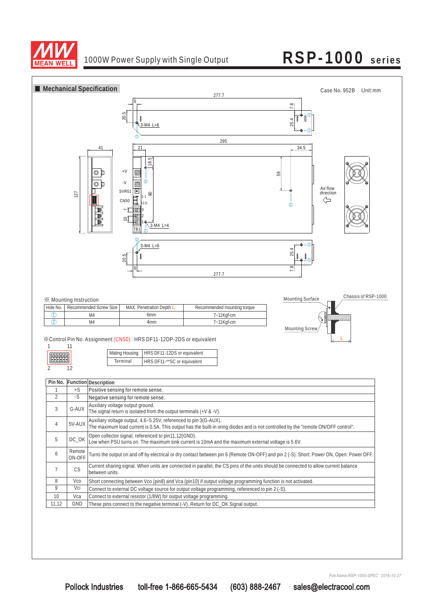